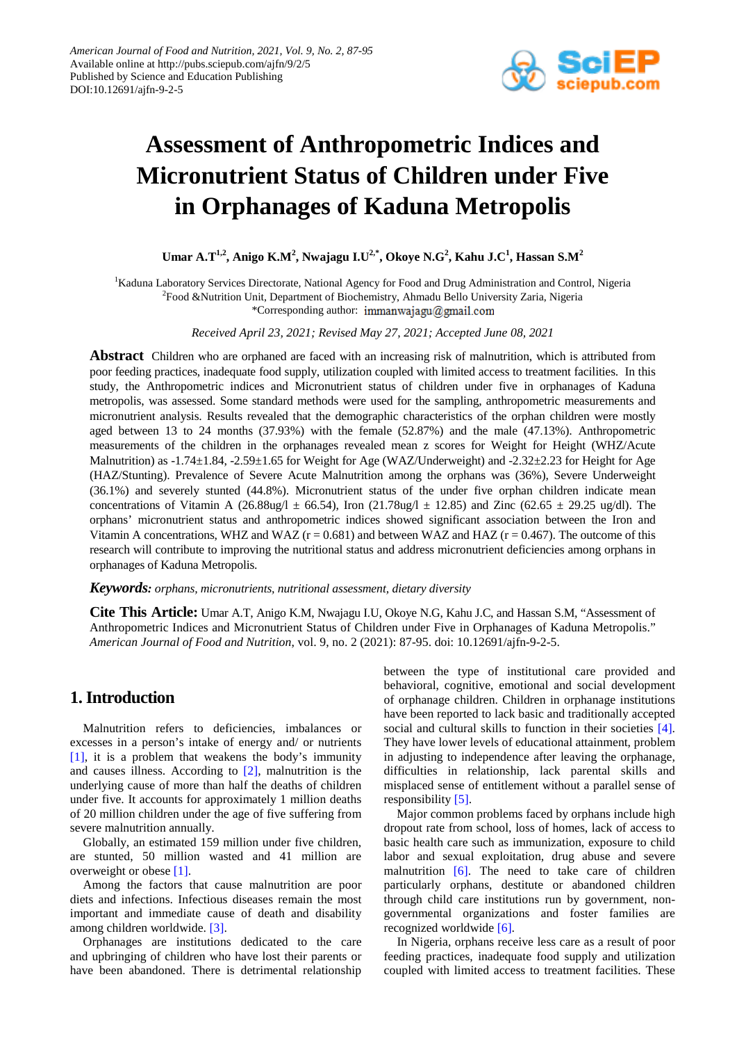

# **Assessment of Anthropometric Indices and Micronutrient Status of Children under Five in Orphanages of Kaduna Metropolis**

 ${\bf U}$ mar A.T $^{1,2}$ , Anigo K.M $^2$ , Nwajagu I.U $^{2,*}$ , Okoye N.G $^2$ , Kahu J.C $^1$ , Hassan S.M $^2$ 

<sup>1</sup>Kaduna Laboratory Services Directorate, National Agency for Food and Drug Administration and Control, Nigeria <sup>2</sup>Food &Nutrition Unit, Department of Biochemistry, Ahmadu Bello University Zaria, Nigeria \*Corresponding author: immanwajagu@gmail.com

*Received April 23, 2021; Revised May 27, 2021; Accepted June 08, 2021*

**Abstract** Children who are orphaned are faced with an increasing risk of malnutrition, which is attributed from poor feeding practices, inadequate food supply, utilization coupled with limited access to treatment facilities. In this study, the Anthropometric indices and Micronutrient status of children under five in orphanages of Kaduna metropolis, was assessed. Some standard methods were used for the sampling, anthropometric measurements and micronutrient analysis. Results revealed that the demographic characteristics of the orphan children were mostly aged between 13 to 24 months (37.93%) with the female (52.87%) and the male (47.13%). Anthropometric measurements of the children in the orphanages revealed mean z scores for Weight for Height (WHZ/Acute Malnutrition) as -1.74±1.84, -2.59±1.65 for Weight for Age (WAZ/Underweight) and -2.32±2.23 for Height for Age (HAZ/Stunting). Prevalence of Severe Acute Malnutrition among the orphans was (36%), Severe Underweight (36.1%) and severely stunted (44.8%). Micronutrient status of the under five orphan children indicate mean concentrations of Vitamin A (26.88ug/l  $\pm$  66.54), Iron (21.78ug/l  $\pm$  12.85) and Zinc (62.65  $\pm$  29.25 ug/dl). The orphans' micronutrient status and anthropometric indices showed significant association between the Iron and Vitamin A concentrations, WHZ and WAZ ( $r = 0.681$ ) and between WAZ and HAZ ( $r = 0.467$ ). The outcome of this research will contribute to improving the nutritional status and address micronutrient deficiencies among orphans in orphanages of Kaduna Metropolis.

*Keywords: orphans, micronutrients, nutritional assessment, dietary diversity*

**Cite This Article:** Umar A.T, Anigo K.M, Nwajagu I.U, Okoye N.G, Kahu J.C, and Hassan S.M, "Assessment of Anthropometric Indices and Micronutrient Status of Children under Five in Orphanages of Kaduna Metropolis." *American Journal of Food and Nutrition*, vol. 9, no. 2 (2021): 87-95. doi: 10.12691/ajfn-9-2-5.

# **1. Introduction**

Malnutrition refers to deficiencies, imbalances or excesses in a person's intake of energy and/ or nutrients [\[1\],](#page-7-0) it is a problem that weakens the body's immunity and causes illness. According to [\[2\],](#page-8-0) malnutrition is the underlying cause of more than half the deaths of children under five. It accounts for approximately 1 million deaths of 20 million children under the age of five suffering from severe malnutrition annually.

Globally, an estimated 159 million under five children, are stunted, 50 million wasted and 41 million are overweight or obese [\[1\].](#page-7-0)

Among the factors that cause malnutrition are poor diets and infections. Infectious diseases remain the most important and immediate cause of death and disability among children worldwide. [\[3\].](#page-8-1)

Orphanages are institutions dedicated to the care and upbringing of children who have lost their parents or have been abandoned. There is detrimental relationship between the type of institutional care provided and behavioral, cognitive, emotional and social development of orphanage children. Children in orphanage institutions have been reported to lack basic and traditionally accepted social and cultural skills to function in their societies [\[4\].](#page-8-2) They have lower levels of educational attainment, problem in adjusting to independence after leaving the orphanage, difficulties in relationship, lack parental skills and misplaced sense of entitlement without a parallel sense of responsibility [\[5\].](#page-8-3)

Major common problems faced by orphans include high dropout rate from school, loss of homes, lack of access to basic health care such as immunization, exposure to child labor and sexual exploitation, drug abuse and severe malnutrition  $[6]$ . The need to take care of children particularly orphans, destitute or abandoned children through child care institutions run by government, nongovernmental organizations and foster families are recognized worldwide [\[6\].](#page-8-4)

In Nigeria, orphans receive less care as a result of poor feeding practices, inadequate food supply and utilization coupled with limited access to treatment facilities. These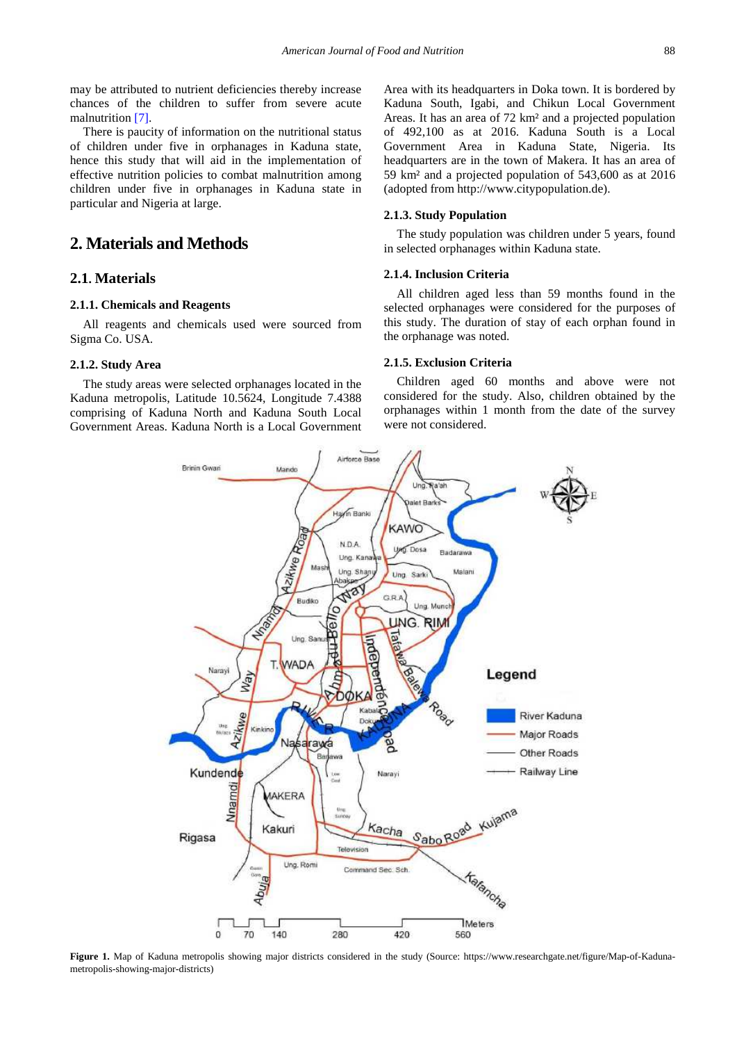may be attributed to nutrient deficiencies thereby increase chances of the children to suffer from severe acute malnutritio[n \[7\].](#page-8-5)

There is paucity of information on the nutritional status of children under five in orphanages in Kaduna state, hence this study that will aid in the implementation of effective nutrition policies to combat malnutrition among children under five in orphanages in Kaduna state in particular and Nigeria at large.

# **2. Materials and Methods**

### **2.1. Materials**

#### **2.1.1. Chemicals and Reagents**

All reagents and chemicals used were sourced from Sigma Co. USA.

#### **2.1.2. Study Area**

The study areas were selected orphanages located in the Kaduna metropolis, Latitude 10.5624, Longitude 7.4388 comprising of Kaduna North and Kaduna South Local Government Areas. Kaduna North is a Local Government Area with its headquarters in Doka town. It is bordered by Kaduna South, Igabi, and Chikun Local Government Areas. It has an area of 72 km² and a projected population of 492,100 as at 2016. Kaduna South is a Local Government Area in Kaduna State, Nigeria. Its headquarters are in the town of Makera. It has an area of 59 km² and a projected population of 543,600 as at 2016 (adopted from http://www.citypopulation.de).

#### **2.1.3. Study Population**

The study population was children under 5 years, found in selected orphanages within Kaduna state.

#### **2.1.4. Inclusion Criteria**

All children aged less than 59 months found in the selected orphanages were considered for the purposes of this study. The duration of stay of each orphan found in the orphanage was noted.

#### **2.1.5. Exclusion Criteria**

Children aged 60 months and above were not considered for the study. Also, children obtained by the orphanages within 1 month from the date of the survey were not considered.



Figure 1. Map of Kaduna metropolis showing major districts considered in the study (Source: https://www.researchgate.net/figure/Map-of-Kadunametropolis-showing-major-districts)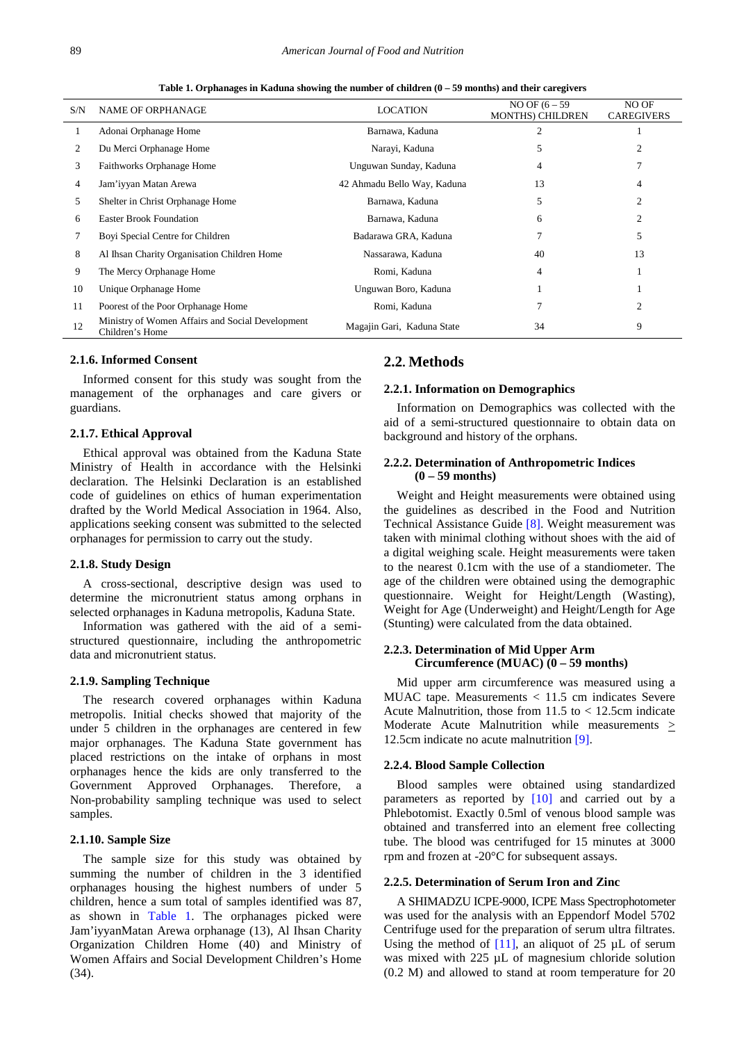**Table 1. Orphanages in Kaduna showing the number of children (0 – 59 months) and their caregivers**

<span id="page-2-0"></span>

| S/N | <b>NAME OF ORPHANAGE</b>                                            | <b>LOCATION</b>             | NO OF $(6 - 59)$<br><b>MONTHS) CHILDREN</b> | NO OF<br><b>CAREGIVERS</b> |
|-----|---------------------------------------------------------------------|-----------------------------|---------------------------------------------|----------------------------|
|     | Adonai Orphanage Home                                               | Barnawa, Kaduna             |                                             |                            |
| 2   | Du Merci Orphanage Home                                             | Narayi, Kaduna              | 5                                           |                            |
| 3   | Faithworks Orphanage Home                                           | Unguwan Sunday, Kaduna      | 4                                           |                            |
| 4   | Jam'iyyan Matan Arewa                                               | 42 Ahmadu Bello Way, Kaduna | 13                                          | 4                          |
| 5.  | Shelter in Christ Orphanage Home                                    | Barnawa, Kaduna             | 5                                           |                            |
| 6   | <b>Easter Brook Foundation</b>                                      | Barnawa, Kaduna             | 6                                           | $\mathfrak{D}$             |
|     | Boyi Special Centre for Children                                    | Badarawa GRA, Kaduna        |                                             | 5                          |
| 8   | Al Ihsan Charity Organisation Children Home                         | Nassarawa, Kaduna           | 40                                          | 13                         |
| 9   | The Mercy Orphanage Home                                            | Romi, Kaduna                | 4                                           |                            |
| 10  | Unique Orphanage Home                                               | Unguwan Boro, Kaduna        |                                             |                            |
| 11  | Poorest of the Poor Orphanage Home                                  | Romi, Kaduna                |                                             | $\overline{c}$             |
| 12  | Ministry of Women Affairs and Social Development<br>Children's Home | Magajin Gari, Kaduna State  | 34                                          | 9                          |

#### **2.1.6. Informed Consent**

Informed consent for this study was sought from the management of the orphanages and care givers or guardians.

#### **2.1.7. Ethical Approval**

Ethical approval was obtained from the Kaduna State Ministry of Health in accordance with the Helsinki declaration. The Helsinki Declaration is an established code of guidelines on ethics of human experimentation drafted by the World Medical Association in 1964. Also, applications seeking consent was submitted to the selected orphanages for permission to carry out the study.

#### **2.1.8. Study Design**

A cross-sectional, descriptive design was used to determine the micronutrient status among orphans in selected orphanages in Kaduna metropolis, Kaduna State.

Information was gathered with the aid of a semistructured questionnaire, including the anthropometric data and micronutrient status.

#### **2.1.9. Sampling Technique**

The research covered orphanages within Kaduna metropolis. Initial checks showed that majority of the under 5 children in the orphanages are centered in few major orphanages. The Kaduna State government has placed restrictions on the intake of orphans in most orphanages hence the kids are only transferred to the Government Approved Orphanages. Therefore, a Non-probability sampling technique was used to select samples.

#### **2.1.10. Sample Size**

The sample size for this study was obtained by summing the number of children in the 3 identified orphanages housing the highest numbers of under 5 children, hence a sum total of samples identified was 87, as shown in [Table 1.](#page-2-0) The orphanages picked were Jam'iyyanMatan Arewa orphanage (13), Al Ihsan Charity Organization Children Home (40) and Ministry of Women Affairs and Social Development Children's Home (34).

### **2.2. Methods**

#### **2.2.1. Information on Demographics**

Information on Demographics was collected with the aid of a semi-structured questionnaire to obtain data on background and history of the orphans.

#### **2.2.2. Determination of Anthropometric Indices (0 – 59 months)**

Weight and Height measurements were obtained using the guidelines as described in the Food and Nutrition Technical Assistance Guide [\[8\].](#page-8-6) Weight measurement was taken with minimal clothing without shoes with the aid of a digital weighing scale. Height measurements were taken to the nearest 0.1cm with the use of a standiometer. The age of the children were obtained using the demographic questionnaire. Weight for Height/Length (Wasting), Weight for Age (Underweight) and Height/Length for Age (Stunting) were calculated from the data obtained.

#### **2.2.3. Determination of Mid Upper Arm Circumference (MUAC) (0 – 59 months)**

Mid upper arm circumference was measured using a MUAC tape. Measurements < 11.5 cm indicates Severe Acute Malnutrition, those from 11.5 to < 12.5cm indicate Moderate Acute Malnutrition while measurements > 12.5cm indicate no acute malnutritio[n \[9\].](#page-8-7)

### **2.2.4. Blood Sample Collection**

Blood samples were obtained using standardized parameters as reported by [\[10\]](#page-8-8) and carried out by a Phlebotomist. Exactly 0.5ml of venous blood sample was obtained and transferred into an element free collecting tube. The blood was centrifuged for 15 minutes at 3000 rpm and frozen at -20°C for subsequent assays.

#### **2.2.5. Determination of Serum Iron and Zinc**

A SHIMADZU ICPE-9000, ICPE Mass Spectrophotometer was used for the analysis with an Eppendorf Model 5702 Centrifuge used for the preparation of serum ultra filtrates. Using the method of  $[11]$ , an aliquot of 25  $\mu$ L of serum was mixed with 225  $\mu$ L of magnesium chloride solution (0.2 M) and allowed to stand at room temperature for 20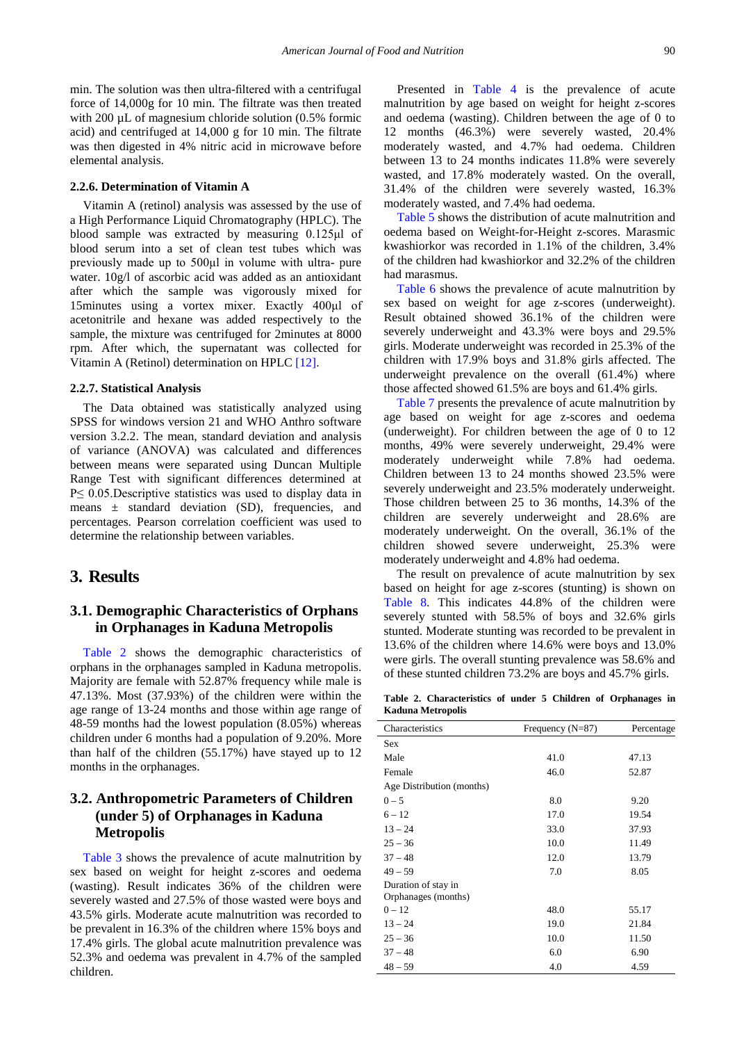min. The solution was then ultra-filtered with a centrifugal force of 14,000g for 10 min. The filtrate was then treated with 200  $\mu$ L of magnesium chloride solution (0.5% formic acid) and centrifuged at 14,000 g for 10 min. The filtrate was then digested in 4% nitric acid in microwave before elemental analysis.

#### **2.2.6. Determination of Vitamin A**

Vitamin A (retinol) analysis was assessed by the use of a High Performance Liquid Chromatography (HPLC). The blood sample was extracted by measuring 0.125μl of blood serum into a set of clean test tubes which was previously made up to 500μl in volume with ultra- pure water. 10g/l of ascorbic acid was added as an antioxidant after which the sample was vigorously mixed for 15minutes using a vortex mixer. Exactly 400μl of acetonitrile and hexane was added respectively to the sample, the mixture was centrifuged for 2minutes at 8000 rpm. After which, the supernatant was collected for Vitamin A (Retinol) determination on HPLC [\[12\].](#page-8-10)

#### **2.2.7. Statistical Analysis**

The Data obtained was statistically analyzed using SPSS for windows version 21 and WHO Anthro software version 3.2.2. The mean, standard deviation and analysis of variance (ANOVA) was calculated and differences between means were separated using Duncan Multiple Range Test with significant differences determined at P≤ 0.05.Descriptive statistics was used to display data in means  $\pm$  standard deviation (SD), frequencies, and percentages. Pearson correlation coefficient was used to determine the relationship between variables.

### **3. Results**

# **3.1. Demographic Characteristics of Orphans in Orphanages in Kaduna Metropolis**

[Table 2](#page-3-0) shows the demographic characteristics of orphans in the orphanages sampled in Kaduna metropolis. Majority are female with 52.87% frequency while male is 47.13%. Most (37.93%) of the children were within the age range of 13-24 months and those within age range of 48-59 months had the lowest population (8.05%) whereas children under 6 months had a population of 9.20%. More than half of the children (55.17%) have stayed up to 12 months in the orphanages.

# **3.2. Anthropometric Parameters of Children (under 5) of Orphanages in Kaduna Metropolis**

[Table 3](#page-4-0) shows the prevalence of acute malnutrition by sex based on weight for height z-scores and oedema (wasting). Result indicates 36% of the children were severely wasted and 27.5% of those wasted were boys and 43.5% girls. Moderate acute malnutrition was recorded to be prevalent in 16.3% of the children where 15% boys and 17.4% girls. The global acute malnutrition prevalence was 52.3% and oedema was prevalent in 4.7% of the sampled children.

Presented in [Table 4](#page-4-1) is the prevalence of acute malnutrition by age based on weight for height z-scores and oedema (wasting). Children between the age of 0 to 12 months (46.3%) were severely wasted, 20.4% moderately wasted, and 4.7% had oedema. Children between 13 to 24 months indicates 11.8% were severely wasted, and 17.8% moderately wasted. On the overall, 31.4% of the children were severely wasted, 16.3% moderately wasted, and 7.4% had oedema.

[Table 5](#page-4-2) shows the distribution of acute malnutrition and oedema based on Weight-for-Height z-scores. Marasmic kwashiorkor was recorded in 1.1% of the children, 3.4% of the children had kwashiorkor and 32.2% of the children had marasmus.

[Table 6](#page-4-3) shows the prevalence of acute malnutrition by sex based on weight for age z-scores (underweight). Result obtained showed 36.1% of the children were severely underweight and 43.3% were boys and 29.5% girls. Moderate underweight was recorded in 25.3% of the children with 17.9% boys and 31.8% girls affected. The underweight prevalence on the overall (61.4%) where those affected showed 61.5% are boys and 61.4% girls.

[Table 7](#page-4-4) presents the prevalence of acute malnutrition by age based on weight for age z-scores and oedema (underweight). For children between the age of 0 to 12 months, 49% were severely underweight, 29.4% were moderately underweight while 7.8% had oedema. Children between 13 to 24 months showed 23.5% were severely underweight and 23.5% moderately underweight. Those children between 25 to 36 months, 14.3% of the children are severely underweight and 28.6% are moderately underweight. On the overall, 36.1% of the children showed severe underweight, 25.3% were moderately underweight and 4.8% had oedema.

The result on prevalence of acute malnutrition by sex based on height for age z-scores (stunting) is shown on [Table 8.](#page-5-0) This indicates 44.8% of the children were severely stunted with 58.5% of boys and 32.6% girls stunted. Moderate stunting was recorded to be prevalent in 13.6% of the children where 14.6% were boys and 13.0% were girls. The overall stunting prevalence was 58.6% and of these stunted children 73.2% are boys and 45.7% girls.

**Table 2. Characteristics of under 5 Children of Orphanages in Kaduna Metropolis**

<span id="page-3-0"></span>

| Characteristics           | Frequency $(N=87)$ | Percentage |
|---------------------------|--------------------|------------|
| Sex                       |                    |            |
| Male                      | 41.0               | 47.13      |
| Female                    | 46.0               | 52.87      |
| Age Distribution (months) |                    |            |
| $0 - 5$                   | 8.0                | 9.20       |
| $6 - 12$                  | 17.0               | 19.54      |
| $13 - 24$                 | 33.0               | 37.93      |
| $25 - 36$                 | 10.0               | 11.49      |
| $37 - 48$                 | 12.0               | 13.79      |
| $49 - 59$                 | 7.0                | 8.05       |
| Duration of stay in       |                    |            |
| Orphanages (months)       |                    |            |
| $0 - 12$                  | 48.0               | 55.17      |
| $13 - 24$                 | 19.0               | 21.84      |
| $25 - 36$                 | 10.0               | 11.50      |
| $37 - 48$                 | 6.0                | 6.90       |
| $48 - 59$                 | 4.0                | 4.59       |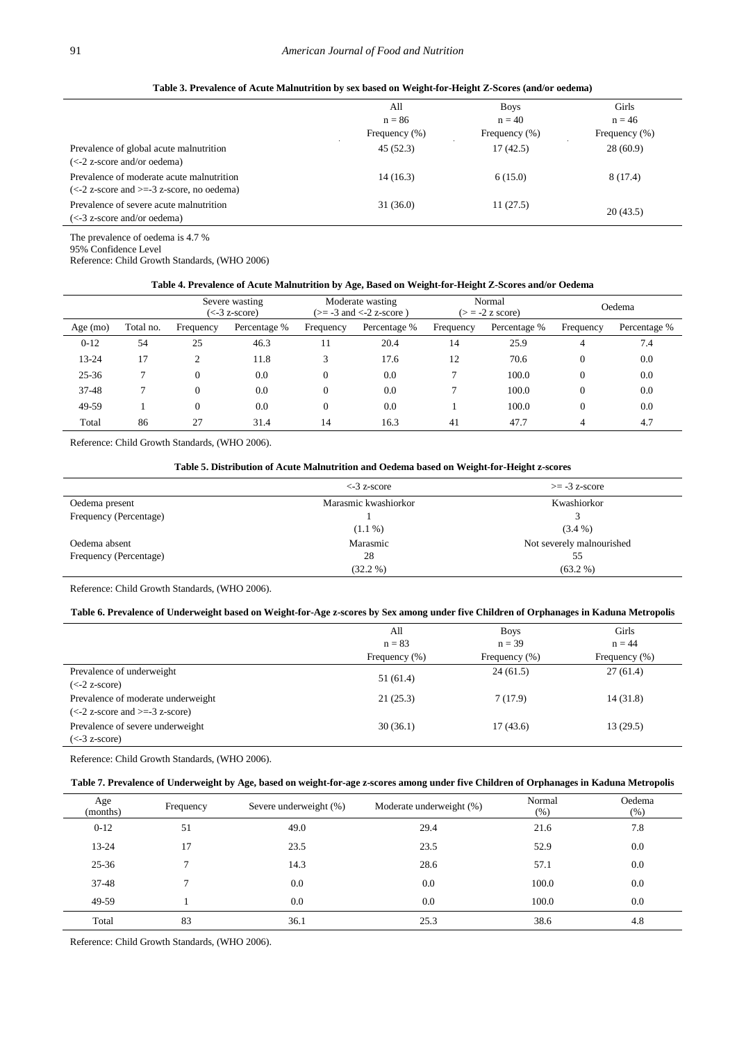<span id="page-4-0"></span>

|                                                                                                               | All<br>$n = 86$<br>Frequency $(\% )$ | <b>Boys</b><br>$n = 40$<br>Frequency (%) | Girls<br>$n = 46$<br>Frequency (%) |
|---------------------------------------------------------------------------------------------------------------|--------------------------------------|------------------------------------------|------------------------------------|
| Prevalence of global acute malnutrition<br>$\left(\langle -2 \right\rangle$ z-score and/or oedema)            | 45(52.3)                             | 17(42.5)                                 | 28(60.9)                           |
| Prevalence of moderate acute malnutrition<br>$\left(\leq -2\right)$ z-score and $\geq -3$ z-score, no oedema) | 14(16.3)                             | 6(15.0)                                  | 8(17.4)                            |
| Prevalence of severe acute malnutrition<br>$\left(\leq -3\right)$ z-score and/or oedema)                      | 31(36.0)                             | 11(27.5)                                 | 20(43.5)                           |

**Table 3. Prevalence of Acute Malnutrition by sex based on Weight-for-Height Z-Scores (and/or oedema)**

The prevalence of oedema is 4.7 %

95% Confidence Level

Reference: Child Growth Standards, (WHO 2006)

### **Table 4. Prevalence of Acute Malnutrition by Age, Based on Weight-for-Height Z-Scores and/or Oedema**

<span id="page-4-1"></span>

|            |           |           | Severe wasting<br>$(< -3 z-score)$ |           | Moderate wasting<br>$\left(>= -3 \text{ and } < -2 \text{ z-score }\right)$ |           | Normal<br>$(>= -2$ z score) |           | Oedema       |
|------------|-----------|-----------|------------------------------------|-----------|-----------------------------------------------------------------------------|-----------|-----------------------------|-----------|--------------|
| Age $(mo)$ | Total no. | Frequency | Percentage %                       | Frequency | Percentage %                                                                | Frequency | Percentage %                | Frequency | Percentage % |
| $0-12$     | 54        | 25        | 46.3                               | 11        | 20.4                                                                        | 14        | 25.9                        | 4         | 7.4          |
| 13-24      | 17        | ◠         | 11.8                               |           | 17.6                                                                        | 12        | 70.6                        | 0         | 0.0          |
| $25 - 36$  |           | 0         | 0.0                                |           | 0.0                                                                         |           | 100.0                       | $\Omega$  | 0.0          |
| $37 - 48$  |           | 0         | 0.0                                |           | 0.0                                                                         |           | 100.0                       | $\Omega$  | 0.0          |
| 49-59      |           | 0         | 0.0                                | 0         | 0.0                                                                         |           | 100.0                       | $\Omega$  | 0.0          |
| Total      | 86        | 27        | 31.4                               | 14        | 16.3                                                                        | 41        | 47.7                        |           | 4.7          |

Reference: Child Growth Standards, (WHO 2006).

<span id="page-4-2"></span>

|                        | $\leq$ 3 z-score     | $\geq$ -3 z-score         |
|------------------------|----------------------|---------------------------|
| Oedema present         | Marasmic kwashiorkor | Kwashiorkor               |
| Frequency (Percentage) |                      |                           |
|                        | $(1.1\%)$            | $(3.4\%)$                 |
| Oedema absent          | Marasmic             | Not severely malnourished |
| Frequency (Percentage) | 28                   | 55                        |
|                        | $(32.2\%)$           | $(63.2\%)$                |

Reference: Child Growth Standards, (WHO 2006).

#### **Table 6. Prevalence of Underweight based on Weight-for-Age z-scores by Sex among under five Children of Orphanages in Kaduna Metropolis**

<span id="page-4-3"></span>

|                                                       | All              | <b>Boys</b>   | Girls             |
|-------------------------------------------------------|------------------|---------------|-------------------|
|                                                       | $n = 83$         | $n = 39$      | $n = 44$          |
|                                                       | Frequency $(\%)$ | Frequency (%) | Frequency $(\% )$ |
| Prevalence of underweight                             | 51 (61.4)        | 24(61.5)      | 27(61.4)          |
| $(<-2 z-score)$                                       |                  |               |                   |
| Prevalence of moderate underweight                    | 21(25.3)         | 7(17.9)       | 14(31.8)          |
| $\left(\leq -2\right)$ z-score and $\geq -3$ z-score) |                  |               |                   |
| Prevalence of severe underweight                      | 30(36.1)         | 17(43.6)      | 13(29.5)          |
| $(< -3 z-score)$                                      |                  |               |                   |

Reference: Child Growth Standards, (WHO 2006).

#### **Table 7. Prevalence of Underweight by Age, based on weight-for-age z-scores among under five Children of Orphanages in Kaduna Metropolis**

<span id="page-4-4"></span>

| Age<br>(months) | Frequency | Severe underweight (%) | Moderate underweight (%) | Normal<br>(% ) | Oedema<br>(% ) |
|-----------------|-----------|------------------------|--------------------------|----------------|----------------|
| $0-12$          | 51        | 49.0                   | 29.4                     | 21.6           | 7.8            |
| 13-24           | 17        | 23.5                   | 23.5                     | 52.9           | 0.0            |
| 25-36           | 7         | 14.3                   | 28.6                     | 57.1           | 0.0            |
| 37-48           |           | $0.0\,$                | 0.0                      | 100.0          | $0.0\,$        |
| 49-59           |           | 0.0                    | 0.0                      | 100.0          | 0.0            |
| Total           | 83        | 36.1                   | 25.3                     | 38.6           | 4.8            |

Reference: Child Growth Standards, (WHO 2006).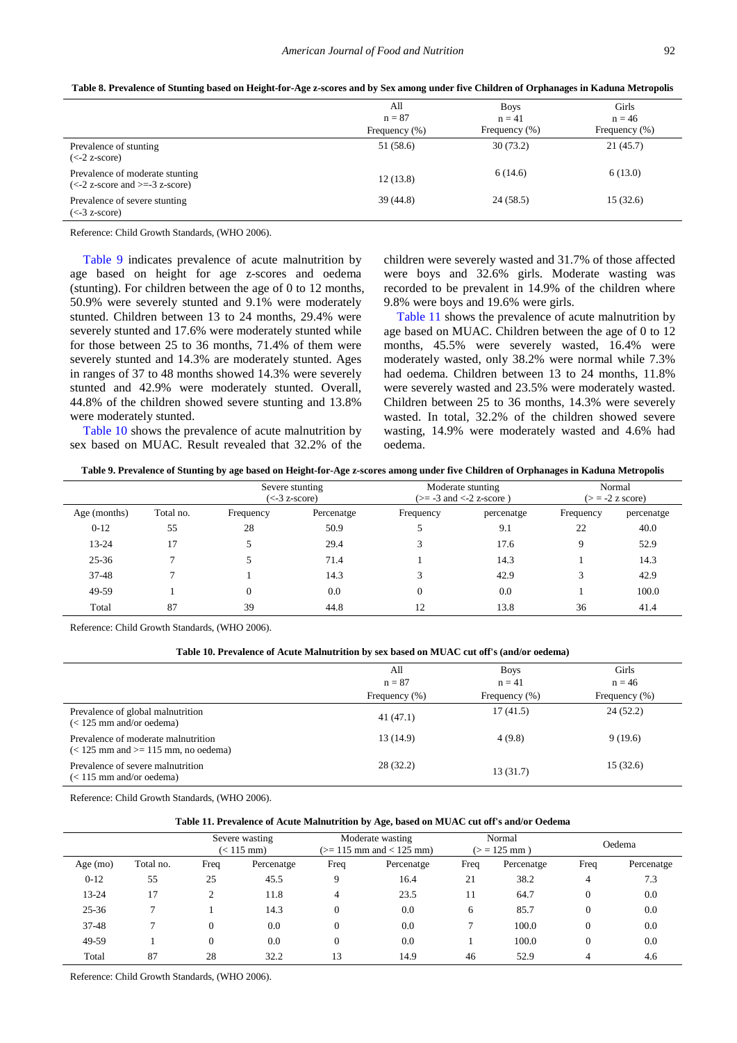| Table 8. Prevalence of Stunting based on Height-for-Age z-scores and by Sex among under five Children of Orphanages in Kaduna Metropolis |  |
|------------------------------------------------------------------------------------------------------------------------------------------|--|
|------------------------------------------------------------------------------------------------------------------------------------------|--|

<span id="page-5-0"></span>

|                                                                                          | All              | <b>Boys</b>       | Girls         |
|------------------------------------------------------------------------------------------|------------------|-------------------|---------------|
|                                                                                          | $n = 87$         | $n = 41$          | $n = 46$      |
|                                                                                          | Frequency $(\%)$ | Frequency $(\% )$ | Frequency (%) |
| Prevalence of stunting<br>$(<-2 z-score)$                                                | 51 (58.6)        | 30(73.2)          | 21(45.7)      |
| Prevalence of moderate stunting<br>$\left(\leq -2\right)$ z-score and $\geq -3$ z-score) | 12(13.8)         | 6(14.6)           | 6(13.0)       |
| Prevalence of severe stunting<br>$(< -3 z-score)$                                        | 39(44.8)         | 24(58.5)          | 15(32.6)      |

Reference: Child Growth Standards, (WHO 2006).

[Table 9](#page-5-1) indicates prevalence of acute malnutrition by age based on height for age z-scores and oedema (stunting). For children between the age of 0 to 12 months, 50.9% were severely stunted and 9.1% were moderately stunted. Children between 13 to 24 months, 29.4% were severely stunted and 17.6% were moderately stunted while for those between 25 to 36 months, 71.4% of them were severely stunted and 14.3% are moderately stunted. Ages in ranges of 37 to 48 months showed 14.3% were severely stunted and 42.9% were moderately stunted. Overall, 44.8% of the children showed severe stunting and 13.8% were moderately stunted.

[Table 10](#page-5-2) shows the prevalence of acute malnutrition by sex based on MUAC. Result revealed that 32.2% of the children were severely wasted and 31.7% of those affected were boys and 32.6% girls. Moderate wasting was recorded to be prevalent in 14.9% of the children where 9.8% were boys and 19.6% were girls.

[Table 11](#page-5-3) shows the prevalence of acute malnutrition by age based on MUAC. Children between the age of 0 to 12 months, 45.5% were severely wasted, 16.4% were moderately wasted, only 38.2% were normal while 7.3% had oedema. Children between 13 to 24 months, 11.8% were severely wasted and 23.5% were moderately wasted. Children between 25 to 36 months, 14.3% were severely wasted. In total, 32.2% of the children showed severe wasting, 14.9% were moderately wasted and 4.6% had oedema.

**Table 9. Prevalence of Stunting by age based on Height-for-Age z-scores among under five Children of Orphanages in Kaduna Metropolis**

<span id="page-5-1"></span>

|              |           |           | Severe stunting<br>$\left(\leq -3\right)$ z-score) |              | Moderate stunting<br>$(>= -3$ and $<-2$ z-score) |           | Normal<br>$(>= -2$ z score) |
|--------------|-----------|-----------|----------------------------------------------------|--------------|--------------------------------------------------|-----------|-----------------------------|
| Age (months) | Total no. | Frequency | Percenatge                                         | Frequency    | percenatge                                       | Frequency | percenatge                  |
| $0-12$       | 55        | 28        | 50.9                                               |              | 9.1                                              | 22        | 40.0                        |
| 13-24        | 17        |           | 29.4                                               |              | 17.6                                             | 9         | 52.9                        |
| $25 - 36$    |           |           | 71.4                                               |              | 14.3                                             |           | 14.3                        |
| $37 - 48$    |           |           | 14.3                                               |              | 42.9                                             | 3         | 42.9                        |
| 49-59        |           | $\theta$  | 0.0                                                | $\mathbf{0}$ | 0.0                                              |           | 100.0                       |
| Total        | 87        | 39        | 44.8                                               | 12           | 13.8                                             | 36        | 41.4                        |

Reference: Child Growth Standards, (WHO 2006).

#### **Table 10. Prevalence of Acute Malnutrition by sex based on MUAC cut off's (and/or oedema)**

<span id="page-5-2"></span>

|                                                                                          | All              | <b>Boys</b>       | Girls            |
|------------------------------------------------------------------------------------------|------------------|-------------------|------------------|
|                                                                                          | $n = 87$         | $n = 41$          | $n = 46$         |
|                                                                                          | Frequency $(\%)$ | Frequency $(\% )$ | Frequency $(\%)$ |
| Prevalence of global malnutrition<br>$\approx$ 125 mm and/or oedema)                     | 41(47.1)         | 17(41.5)          | 24(52.2)         |
| Prevalence of moderate malnutrition<br>$\approx$ 125 mm and $\approx$ 115 mm, no oedema) | 13 (14.9)        | 4(9.8)            | 9(19.6)          |
| Prevalence of severe malnutrition<br>$\approx$ 115 mm and/or oedema)                     | 28(32.2)         | 13(31.7)          | 15(32.6)         |

Reference: Child Growth Standards, (WHO 2006).

#### **Table 11. Prevalence of Acute Malnutrition by Age, based on MUAC cut off's and/or Oedema**

<span id="page-5-3"></span>

|            |               | Severe wasting<br>$(< 115$ mm) |            | Moderate wasting<br>$(>= 115$ mm and $< 125$ mm) |            | Normal<br>$(>= 125$ mm) |            | Oedema         |            |
|------------|---------------|--------------------------------|------------|--------------------------------------------------|------------|-------------------------|------------|----------------|------------|
| Age $(mo)$ | Total no.     | Freq                           | Percenatge | Freq                                             | Percenatge | Freq                    | Percenatge | Freq           | Percenatge |
| $0 - 12$   | 55            | 25                             | 45.5       | 9                                                | 16.4       | 21                      | 38.2       | 4              | 7.3        |
| 13-24      | 17            | 2                              | 11.8       | 4                                                | 23.5       | 11                      | 64.7       | $\overline{0}$ | 0.0        |
| $25 - 36$  | $\mathcal{L}$ |                                | 14.3       |                                                  | 0.0        | 6                       | 85.7       | $\overline{0}$ | 0.0        |
| 37-48      |               | $\Omega$                       | 0.0        | $\theta$                                         | 0.0        |                         | 100.0      | $\Omega$       | 0.0        |
| 49-59      |               | $\Omega$                       | 0.0        | $\theta$                                         | 0.0        |                         | 100.0      | $\theta$       | 0.0        |
| Total      | 87            | 28                             | 32.2       | 13                                               | 14.9       | 46                      | 52.9       | $\overline{4}$ | 4.6        |

Reference: Child Growth Standards, (WHO 2006).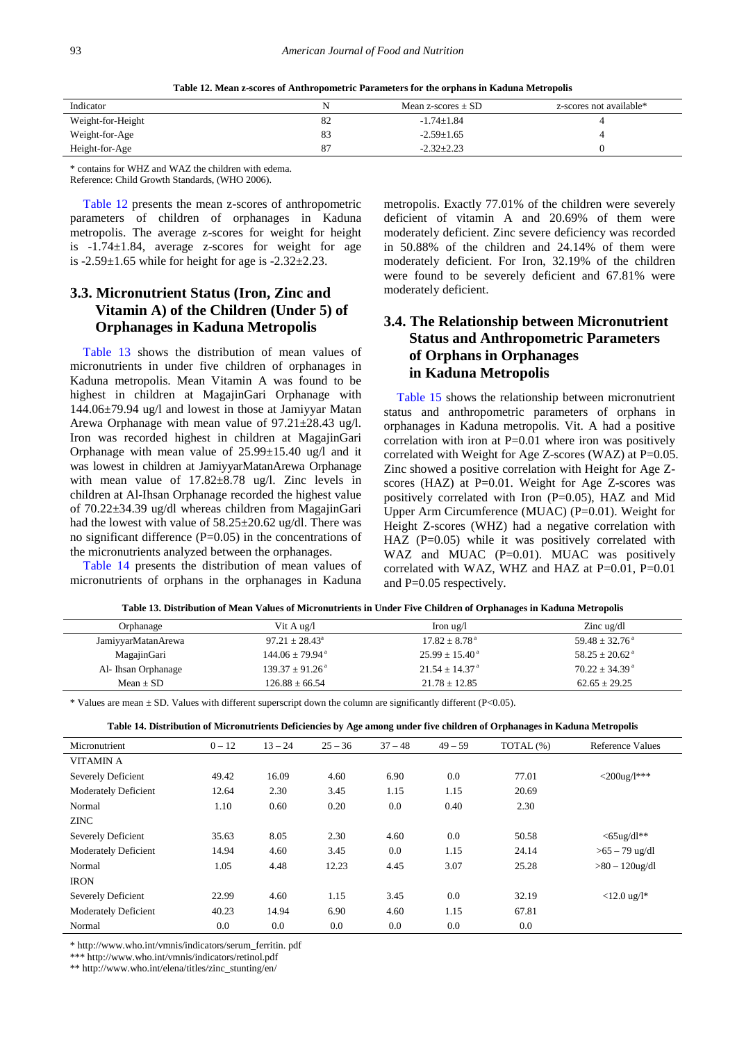|  |  | Table 12. Mean z-scores of Anthropometric Parameters for the orphans in Kaduna Metropolis |
|--|--|-------------------------------------------------------------------------------------------|
|--|--|-------------------------------------------------------------------------------------------|

<span id="page-6-0"></span>

|                   |    | Mean z-scores $\pm$ SD | z-scores not available* |
|-------------------|----|------------------------|-------------------------|
| Weight-for-Height | 82 | $-1.74 \pm 1.84$       |                         |
| Weight-for-Age    | 83 | $-2.59 \pm 1.65$       |                         |
| Height-for-Age    | 87 | $-2.32 \pm 2.23$       |                         |

\* contains for WHZ and WAZ the children with edema. Reference: Child Growth Standards, (WHO 2006).

[Table 12](#page-6-0) presents the mean z-scores of anthropometric parameters of children of orphanages in Kaduna metropolis. The average z-scores for weight for height is -1.74±1.84, average z-scores for weight for age is  $-2.59\pm1.65$  while for height for age is  $-2.32\pm2.23$ .

# **3.3. Micronutrient Status (Iron, Zinc and Vitamin A) of the Children (Under 5) of Orphanages in Kaduna Metropolis**

[Table 13](#page-6-1) shows the distribution of mean values of micronutrients in under five children of orphanages in Kaduna metropolis. Mean Vitamin A was found to be highest in children at MagajinGari Orphanage with 144.06±79.94 ug/l and lowest in those at Jamiyyar Matan Arewa Orphanage with mean value of 97.21±28.43 ug/l. Iron was recorded highest in children at MagajinGari Orphanage with mean value of  $25.99 \pm 15.40$  ug/l and it was lowest in children at JamiyyarMatanArewa Orphanage with mean value of 17.82±8.78 ug/l. Zinc levels in children at Al-Ihsan Orphanage recorded the highest value of 70.22±34.39 ug/dl whereas children from MagajinGari had the lowest with value of 58.25±20.62 ug/dl. There was no significant difference (P=0.05) in the concentrations of the micronutrients analyzed between the orphanages.

[Table 14](#page-6-2) presents the distribution of mean values of micronutrients of orphans in the orphanages in Kaduna metropolis. Exactly 77.01% of the children were severely deficient of vitamin A and 20.69% of them were moderately deficient. Zinc severe deficiency was recorded in 50.88% of the children and 24.14% of them were moderately deficient. For Iron, 32.19% of the children were found to be severely deficient and 67.81% were moderately deficient.

# **3.4. The Relationship between Micronutrient Status and Anthropometric Parameters of Orphans in Orphanages in Kaduna Metropolis**

[Table 15](#page-7-1) shows the relationship between micronutrient status and anthropometric parameters of orphans in orphanages in Kaduna metropolis. Vit. A had a positive correlation with iron at  $P=0.01$  where iron was positively correlated with Weight for Age Z-scores (WAZ) at  $P=0.05$ . Zinc showed a positive correlation with Height for Age Zscores (HAZ) at P=0.01. Weight for Age Z-scores was positively correlated with Iron (P=0.05), HAZ and Mid Upper Arm Circumference (MUAC) (P=0.01). Weight for Height Z-scores (WHZ) had a negative correlation with HAZ (P=0.05) while it was positively correlated with WAZ and MUAC (P=0.01). MUAC was positively correlated with WAZ, WHZ and HAZ at P=0.01, P=0.01 and P=0.05 respectively.

| Table 13. Distribution of Mean Values of Micronutrients in Under Five Children of Orphanages in Kaduna Metropolis |  |  |  |  |  |  |
|-------------------------------------------------------------------------------------------------------------------|--|--|--|--|--|--|
|-------------------------------------------------------------------------------------------------------------------|--|--|--|--|--|--|

<span id="page-6-1"></span>

| Orphanage           | Vit A $\mu$ g/l               | Iron $\lg$ /l                  | $\chi$ zinc ug/dl              |
|---------------------|-------------------------------|--------------------------------|--------------------------------|
| JamiyyarMatanArewa  | $97.21 \pm 28.43^{\circ}$     | $17.82 \pm 8.78$ <sup>a</sup>  | $59.48 \pm 32.76$ <sup>a</sup> |
| MagajinGari         | $144.06 + 79.94$ <sup>a</sup> | $25.99 \pm 15.40^{\text{ a}}$  | $58.25 + 20.62$ <sup>a</sup>   |
| Al- Ihsan Orphanage | $139.37 \pm 91.26^{\text{a}}$ | $21.54 \pm 14.37$ <sup>a</sup> | $70.22 \pm 34.39$ <sup>a</sup> |
| $Mean + SD$         | $126.88 + 66.54$              | $21.78 + 12.85$                | $62.65 \pm 29.25$              |

\* Values are mean  $\pm$  SD. Values with different superscript down the column are significantly different (P<0.05).

<span id="page-6-2"></span>

| Micronutrient               | $0 - 12$ | $13 - 24$ | $25 - 36$ | $37 - 48$ | $49 - 59$ | TOTAL (%) | <b>Reference Values</b> |
|-----------------------------|----------|-----------|-----------|-----------|-----------|-----------|-------------------------|
| <b>VITAMIN A</b>            |          |           |           |           |           |           |                         |
| Severely Deficient          | 49.42    | 16.09     | 4.60      | 6.90      | 0.0       | 77.01     | $<$ 200ug/l***          |
| Moderately Deficient        | 12.64    | 2.30      | 3.45      | 1.15      | 1.15      | 20.69     |                         |
| Normal                      | 1.10     | 0.60      | 0.20      | 0.0       | 0.40      | 2.30      |                         |
| <b>ZINC</b>                 |          |           |           |           |           |           |                         |
| Severely Deficient          | 35.63    | 8.05      | 2.30      | 4.60      | 0.0       | 50.58     | $<$ 65ug/dl**           |
| <b>Moderately Deficient</b> | 14.94    | 4.60      | 3.45      | 0.0       | 1.15      | 24.14     | $>65 - 79$ ug/dl        |
| Normal                      | 1.05     | 4.48      | 12.23     | 4.45      | 3.07      | 25.28     | $>80-120$ ug/dl         |
| <b>IRON</b>                 |          |           |           |           |           |           |                         |
| Severely Deficient          | 22.99    | 4.60      | 1.15      | 3.45      | 0.0       | 32.19     | $<$ 12.0 ug/l*          |
| <b>Moderately Deficient</b> | 40.23    | 14.94     | 6.90      | 4.60      | 1.15      | 67.81     |                         |
| Normal                      | 0.0      | 0.0       | 0.0       | 0.0       | 0.0       | $0.0\,$   |                         |

\* http://www.who.int/vmnis/indicators/serum\_ferritin. pdf

\*\*\* http://www.who.int/vmnis/indicators/retinol.pdf

\*\* http://www.who.int/elena/titles/zinc\_stunting/en/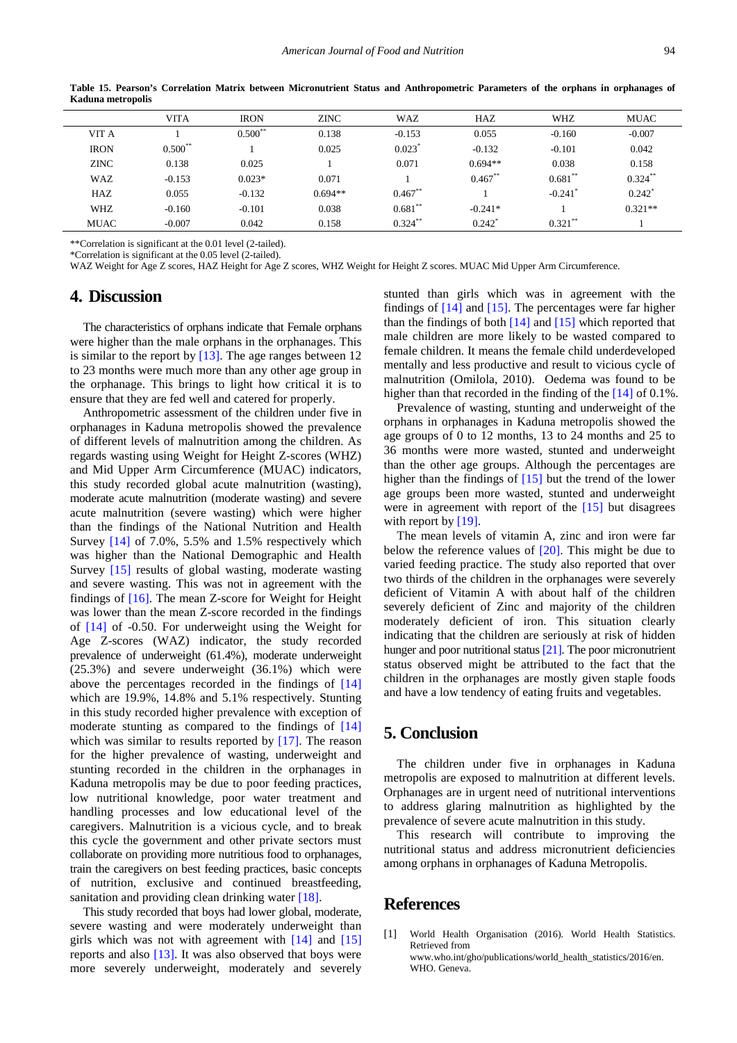<span id="page-7-1"></span>

|             | <b>VITA</b> | <b>IRON</b> | <b>ZINC</b> | <b>WAZ</b>           | HAZ                  | <b>WHZ</b>            | <b>MUAC</b> |
|-------------|-------------|-------------|-------------|----------------------|----------------------|-----------------------|-------------|
| VIT A       |             | $0.500**$   | 0.138       | $-0.153$             | 0.055                | $-0.160$              | $-0.007$    |
| <b>IRON</b> | $0.500**$   |             | 0.025       | $0.023$ <sup>*</sup> | $-0.132$             | $-0.101$              | 0.042       |
| <b>ZINC</b> | 0.138       | 0.025       |             | 0.071                | $0.694**$            | 0.038                 | 0.158       |
| <b>WAZ</b>  | $-0.153$    | $0.023*$    | 0.071       |                      | $0.467**$            | $0.681**$             | $0.324***$  |
| HAZ         | 0.055       | $-0.132$    | $0.694**$   | $0.467**$            |                      | $-0.241$ <sup>*</sup> | $0.242^*$   |
| <b>WHZ</b>  | $-0.160$    | $-0.101$    | 0.038       | $0.681**$            | $-0.241*$            |                       | $0.321**$   |
| <b>MUAC</b> | $-0.007$    | 0.042       | 0.158       | $0.324***$           | $0.242$ <sup>*</sup> | $0.321***$            |             |

**Table 15. Pearson's Correlation Matrix between Micronutrient Status and Anthropometric Parameters of the orphans in orphanages of Kaduna metropolis**

\*\*Correlation is significant at the 0.01 level (2-tailed).

\*Correlation is significant at the 0.05 level (2-tailed).

WAZ Weight for Age Z scores, HAZ Height for Age Z scores, WHZ Weight for Height Z scores. MUAC Mid Upper Arm Circumference.

### **4. Discussion**

The characteristics of orphans indicate that Female orphans were higher than the male orphans in the orphanages. This is similar to the report by [\[13\].](#page-8-11) The age ranges between 12 to 23 months were much more than any other age group in the orphanage. This brings to light how critical it is to ensure that they are fed well and catered for properly.

Anthropometric assessment of the children under five in orphanages in Kaduna metropolis showed the prevalence of different levels of malnutrition among the children. As regards wasting using Weight for Height Z-scores (WHZ) and Mid Upper Arm Circumference (MUAC) indicators, this study recorded global acute malnutrition (wasting), moderate acute malnutrition (moderate wasting) and severe acute malnutrition (severe wasting) which were higher than the findings of the National Nutrition and Health Survey [\[14\]](#page-8-12) of 7.0%, 5.5% and 1.5% respectively which was higher than the National Demographic and Health Survey [\[15\]](#page-8-13) results of global wasting, moderate wasting and severe wasting. This was not in agreement with the findings of [\[16\].](#page-8-14) The mean Z-score for Weight for Height was lower than the mean Z-score recorded in the findings of [\[14\]](#page-8-12) of -0.50. For underweight using the Weight for Age Z-scores (WAZ) indicator, the study recorded prevalence of underweight (61.4%), moderate underweight (25.3%) and severe underweight (36.1%) which were above the percentages recorded in the findings of [\[14\]](#page-8-12) which are 19.9%, 14.8% and 5.1% respectively. Stunting in this study recorded higher prevalence with exception of moderate stunting as compared to the findings of [\[14\]](#page-8-12) which was similar to results reported by [\[17\].](#page-8-15) The reason for the higher prevalence of wasting, underweight and stunting recorded in the children in the orphanages in Kaduna metropolis may be due to poor feeding practices, low nutritional knowledge, poor water treatment and handling processes and low educational level of the caregivers. Malnutrition is a vicious cycle, and to break this cycle the government and other private sectors must collaborate on providing more nutritious food to orphanages, train the caregivers on best feeding practices, basic concepts of nutrition, exclusive and continued breastfeeding, sanitation and providing clean drinking water [\[18\].](#page-8-16)

This study recorded that boys had lower global, moderate, severe wasting and were moderately underweight than girls which was not with agreement with [\[14\]](#page-8-12) and [\[15\]](#page-8-13) reports and also [\[13\].](#page-8-11) It was also observed that boys were more severely underweight, moderately and severely stunted than girls which was in agreement with the findings of  $[14]$  and  $[15]$ . The percentages were far higher than the findings of both  $[14]$  and  $[15]$  which reported that male children are more likely to be wasted compared to female children. It means the female child underdeveloped mentally and less productive and result to vicious cycle of malnutrition (Omilola, 2010). Oedema was found to be higher than that recorded in the finding of the [\[14\]](#page-8-12) of 0.1%.

Prevalence of wasting, stunting and underweight of the orphans in orphanages in Kaduna metropolis showed the age groups of 0 to 12 months, 13 to 24 months and 25 to 36 months were more wasted, stunted and underweight than the other age groups. Although the percentages are higher than the findings of [\[15\]](#page-8-13) but the trend of the lower age groups been more wasted, stunted and underweight were in agreement with report of the [\[15\]](#page-8-13) but disagrees with report by  $[19]$ .

The mean levels of vitamin A, zinc and iron were far below the reference values of [\[20\].](#page-8-18) This might be due to varied feeding practice. The study also reported that over two thirds of the children in the orphanages were severely deficient of Vitamin A with about half of the children severely deficient of Zinc and majority of the children moderately deficient of iron. This situation clearly indicating that the children are seriously at risk of hidden hunger and poor nutritional statu[s \[21\].](#page-8-19) The poor micronutrient status observed might be attributed to the fact that the children in the orphanages are mostly given staple foods and have a low tendency of eating fruits and vegetables.

# **5. Conclusion**

The children under five in orphanages in Kaduna metropolis are exposed to malnutrition at different levels. Orphanages are in urgent need of nutritional interventions to address glaring malnutrition as highlighted by the prevalence of severe acute malnutrition in this study.

This research will contribute to improving the nutritional status and address micronutrient deficiencies among orphans in orphanages of Kaduna Metropolis.

# **References**

<span id="page-7-0"></span>[1] World Health Organisation (2016). World Health Statistics. Retrieved from www.who.int/gho/publications/world\_health\_statistics/2016/en. WHO. Geneva.